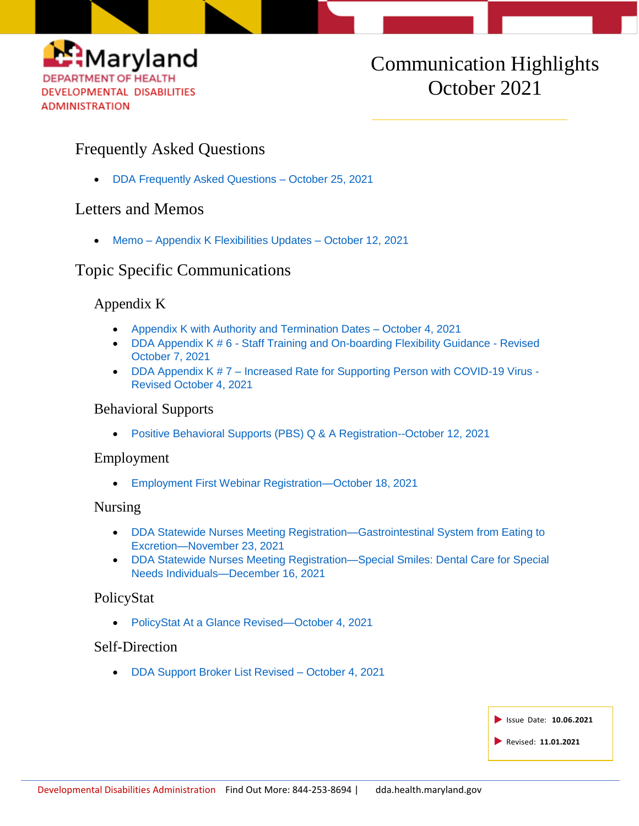

# Communication Highlights October 2021

## Frequently Asked Questions

[DDA Frequently Asked Questions –](https://health.maryland.gov/dda/Documents/What%27s%20New%20Page/10.25.21/DDA%20Frequently%20Asked%20Questions%20-%20October%2025%2c%20%202021.pdf) October 25, 2021

## Letters and Memos

Memo – [Appendix K Flexibilities Updates –](https://health.maryland.gov/dda/Documents/COVID%2019%20Documents/Appendix%20K/10.13.21/Memo%203%20Appendix%20K%20Flexibilities%20Update%2010.12.21.pdf) October 12, 2021

## Topic Specific Communications

### Appendix K

- [Appendix K with Authority and Termination Dates –](https://r20.rs6.net/tn.jsp?f=001_XNAM4HrrQKAWJ_a-gFFfQWHXd4kbTlGQropf8Xgwr8VeNDeip9ZrbJAAat-etPeptBS-ISVXZZ65imx4JlYIttAKj7YcCu3mseW-a0Ah03Qn3a_YuhHLBmurvuRZp7RvqNKpy7XLNlfqj-90-Chp7VFt3DvDn08ND_FR7OSYuZImomNa_BCjsD3GfVKIRi9I64i0kPufQ1gfzCFzZdH0_oSr-9mjQxafycyewy5aEpvPY27NVaZNI64Q6jiiDKiJ88jMF9_ZEbublDBX9FyvEP0w51JbecCnVPniYOF_sReyPaR4SwZeG7bBkZOAkA72iJ9y0FQKFAFiaiB4fte_eUuIMWdxUnC-KsMzuwcb0E=&c=4rS5dHt9KyH_NLUGGbOAA7ZIpa0an7zUV38F7rQNHCAunpg6dC0A_w==&ch=bRzi-FOUO3ndTafR4KBP-cmISbaJgibHxERb5j6ejZQyV7YbG4y2Tw==) October 4, 2021
- DDA Appendix K # 6 [Staff Training and On-boarding Flexibility Guidance -](https://health.maryland.gov/dda/Documents/COVID%2019%20Documents/Appendix%20K/10.7.21/6-DDA%20Appendix%20K%206-%20Staff%20Training%20and%20On-Boarding%20Flexibility%20-%20Revised%2010-7-21.pdf) Revised [October 7, 2021](https://health.maryland.gov/dda/Documents/COVID%2019%20Documents/Appendix%20K/10.7.21/6-DDA%20Appendix%20K%206-%20Staff%20Training%20and%20On-Boarding%20Flexibility%20-%20Revised%2010-7-21.pdf)
- DDA Appendix K # 7 Increased Rate for Supporting Person with COVID-19 Virus -[Revised October 4, 2021](https://r20.rs6.net/tn.jsp?f=001_XNAM4HrrQKAWJ_a-gFFfQWHXd4kbTlGQropf8Xgwr8VeNDeip9ZrbJAAat-etPe9sSWL-1Pedv1Lb0UKaMpurtEPgIoHao5WEsnDKw1MdJUXn4Wx16neXHtmYsII0RfzlcZPPdywvLsd-QzeLyRcKdtnW3w_00fnhTxMIHBTjeSI6Ph8k6Kll7wMbcrAJS9kvyteETzbX1fB-2S3BVG-WBAq_Qgaqeg6_tPOO8e8qZXK0yFmMSGYMaEuaKHBPMQGGHMlq_JqkTeudwGL3kc3E7bONRE4VTl9lCPnuN9bKAMTNHM-KkL-gQRCVQy-emDZNem6ZGzgpCe0BTowUVuiGDOkvENnYq8D76NHmk8DVemax81NRp8VOWOSK1rpKj0_8amaGIyGBotCEmrCNE05x2xeqsQYWEeplbglSe6r1nGYMvtS2kMvg==&c=4rS5dHt9KyH_NLUGGbOAA7ZIpa0an7zUV38F7rQNHCAunpg6dC0A_w==&ch=bRzi-FOUO3ndTafR4KBP-cmISbaJgibHxERb5j6ejZQyV7YbG4y2Tw==)

#### Behavioral Supports

[Positive Behavioral Supports \(PBS\) Q & A Registration--October 12, 2021](https://r20.rs6.net/tn.jsp?f=001b112nqGRCP9aDEwRGoTL4uHPdBOz2Q1kWJHMy0WtQAQo4erK6uFMOHfjFoSi2n_OK0bVX1ZkWxQ2uqoP5SobMc6jVHzoCeGAlXsZZ0VXMRx_riMIuiZRBQlYc_-chKZF2JAy7EfxDbCWvYaBJsf5qs3XIpQZydDP9t1ch3PFKmDHi7VlN1Dq4hxfbYIsH51AHM8KlGYnDds=&c=zfDOnhfd-zlSex4JqRcfqeDU57ZEzFjH6yLpOXnKUbkEYlF6FLgPWA==&ch=ZTqRu7ZEr5KrOBYSNZgEuSX8kxv43HrxpCNQEFkvNrKkZTn5qwpvyw==)

#### Employment

[Employment First Webinar Registration—October 18, 2021](https://r20.rs6.net/tn.jsp?f=0019j3j8IL_gRVrIgOwuhUCBfZ6SoSzOzGoGElUHglIMu2znu-mayJaTL1lc6eqqa6PYh4w5qH3SG-ShzG-WJF9edLc9YMv0B0PFhhJ9Z5eIoy4t5magkea88x5xk1cJACO9pseY6q1cY8omby5dyPffJRV2GIJtvajTak-XBidmxwjtQFtGDL0jR6_cZ7rqt2FfOmSNwbhbbw=&c=rf98OaKSU7KM_6EV6_E4P6N1mLjKOWLs0gO1X8ksTT87j3mrYJObhw==&ch=H0PgV8lni3SvwRBfNMzvMI6sbpuMoPYdN8YDjsXKGbIzHcneN3RYTg==)

#### Nursing

- [DDA Statewide Nurses Meeting Registration—Gastrointestinal System from Eating to](http://r20.rs6.net/tn.jsp?f=001Y7uboaPQYCIC0rUD83FnCL6vUm9n1-I9XOGhmwmIKBn9e-uftKpBiF1_NG6ih83DR0GGInHaLPCohmdgqCqmcTPykc0LJT7d5gRp6nkbqJtAte4yp8-wDGiTYcHV4YVuKLs-IC_IQ_NduBOsYvjWY3WnSvi57FH0WGyECjPavJTvKN457kYi8HZMYSEas55GZ4U-NU2jGebpp6ZN_vy0ZKBs7rNO3WHO&c=L7uvJ6pt---Ew42p3u1QkVzaaS0TJ-R40ZCelAuG_9V2amCjpqIqhw==&ch=VbxmbagajW4jp5l_K1MZc_2hyefM-HMbsTa5wx1R0mQhdWF9uQESiA==)  [Excretion—November 23, 2021](http://r20.rs6.net/tn.jsp?f=001Y7uboaPQYCIC0rUD83FnCL6vUm9n1-I9XOGhmwmIKBn9e-uftKpBiF1_NG6ih83DR0GGInHaLPCohmdgqCqmcTPykc0LJT7d5gRp6nkbqJtAte4yp8-wDGiTYcHV4YVuKLs-IC_IQ_NduBOsYvjWY3WnSvi57FH0WGyECjPavJTvKN457kYi8HZMYSEas55GZ4U-NU2jGebpp6ZN_vy0ZKBs7rNO3WHO&c=L7uvJ6pt---Ew42p3u1QkVzaaS0TJ-R40ZCelAuG_9V2amCjpqIqhw==&ch=VbxmbagajW4jp5l_K1MZc_2hyefM-HMbsTa5wx1R0mQhdWF9uQESiA==)
- [DDA Statewide Nurses Meeting Registration—Special Smiles: Dental Care for Special](http://r20.rs6.net/tn.jsp?f=0011b6WRZmJRWb50ULeGO295yo29DYCCgmP5XJwIU0Rm2Wdypp0pteVcS_r-63wqwUnWnL3ylb_fOYCT8MxSg5vWY4e-KUMXr27Gk7_rXSUXud1-kRuS7e_vArktqVAiYbBZH7YHEyCFP_wfMPMb2ZEKneXA3R__QADtNCcwepTPmFLOGHmp8ON40As1PSuTnFYYDN22sJa5mk48XV_YBhl4KST6ejrvKeR&c=Vzo6IW1gncTSYhk_qHFvVCLxCTflbB2ZrsgpYfprJOLN-OjTcLuIRw==&ch=wHA_LrnKzcrHwUZ18wNSS1lHngR08PVGU5VsCyYfT2ZlmjLvMquDdA==)  [Needs Individuals—December 16, 2021](http://r20.rs6.net/tn.jsp?f=0011b6WRZmJRWb50ULeGO295yo29DYCCgmP5XJwIU0Rm2Wdypp0pteVcS_r-63wqwUnWnL3ylb_fOYCT8MxSg5vWY4e-KUMXr27Gk7_rXSUXud1-kRuS7e_vArktqVAiYbBZH7YHEyCFP_wfMPMb2ZEKneXA3R__QADtNCcwepTPmFLOGHmp8ON40As1PSuTnFYYDN22sJa5mk48XV_YBhl4KST6ejrvKeR&c=Vzo6IW1gncTSYhk_qHFvVCLxCTflbB2ZrsgpYfprJOLN-OjTcLuIRw==&ch=wHA_LrnKzcrHwUZ18wNSS1lHngR08PVGU5VsCyYfT2ZlmjLvMquDdA==)

#### PolicyStat

[PolicyStat At a Glance Revised—October 4, 2021](https://health.maryland.gov/dda/Documents/Transformation/At%20a%20Glance%20Documents/10.5.21/PolicyStat%20At%20A%20Glance%202021.10.04.docx.pdf)

#### Self-Direction

[DDA Support Broker List Revised –](https://health.maryland.gov/dda/Documents/Self-Directed%20Services%20Guidance%2c%20Forms%2c%20and%2c%20Webinars/10.5.21/Support%20Broker%20Listing%20Updated%2010.04.2021.pdf) October 4, 2021

| Sissue Date: 10.06.2021 |
|-------------------------|
| Revised: 11.01.2021     |